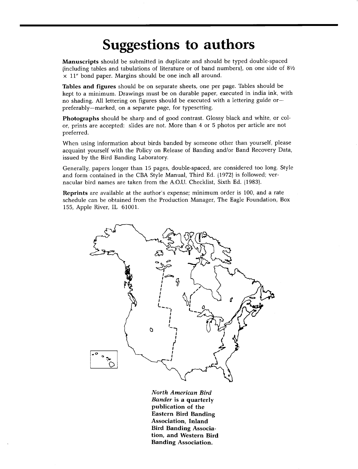## **Suggestions to authors**

**Manuscripts should be submitted in duplicate and should be typed double-spaced lincluding tables and tabulations of literature or of band numbers), on one side of 81/2 x 11" bond paper. Margins should be one inch all around.** 

**Tables and figures should be on separate sheets, one per page. Tables should be kept to a minimum. Drawings must be on durable paper, executed in india ink, with no shading. All lettering on figures should be executed with a lettering guide or- preferably--marked, on a separate page, for typesetting.** 

**Photographs should be sharp and of good contrast. Glossy black and white, or color, prints are accepted: slides are not. More than 4 or 5 photos per article are not preferred.** 

**When using information about birds banded by someone other than yourself, please acquaint yourself with the Policy on Release of Banding and/or Band Recovery Data, issued by the Bird Banding Laboratory.** 

**Generally, papers longer than 15 pages, double-spaced, are considered too long. Style and form contained in the CBA Style Manual, Third Ed. 11972) is followed; vernacular bird names are taken from the A.O.U. Checklist, Sixth Ed. 11983).** 

**Reprints are available at the author's expense; minimum order is 100, and a rate schedule can be obtained from the Production Manager, The Eagle Foundation, Box 155, Apple River, IL 61001.** 



**North American Bird Bander is a quarterly publication of the Eastern Bird Banding Association, Inland Bird Banding Association, and Western Bird Banding Association.**